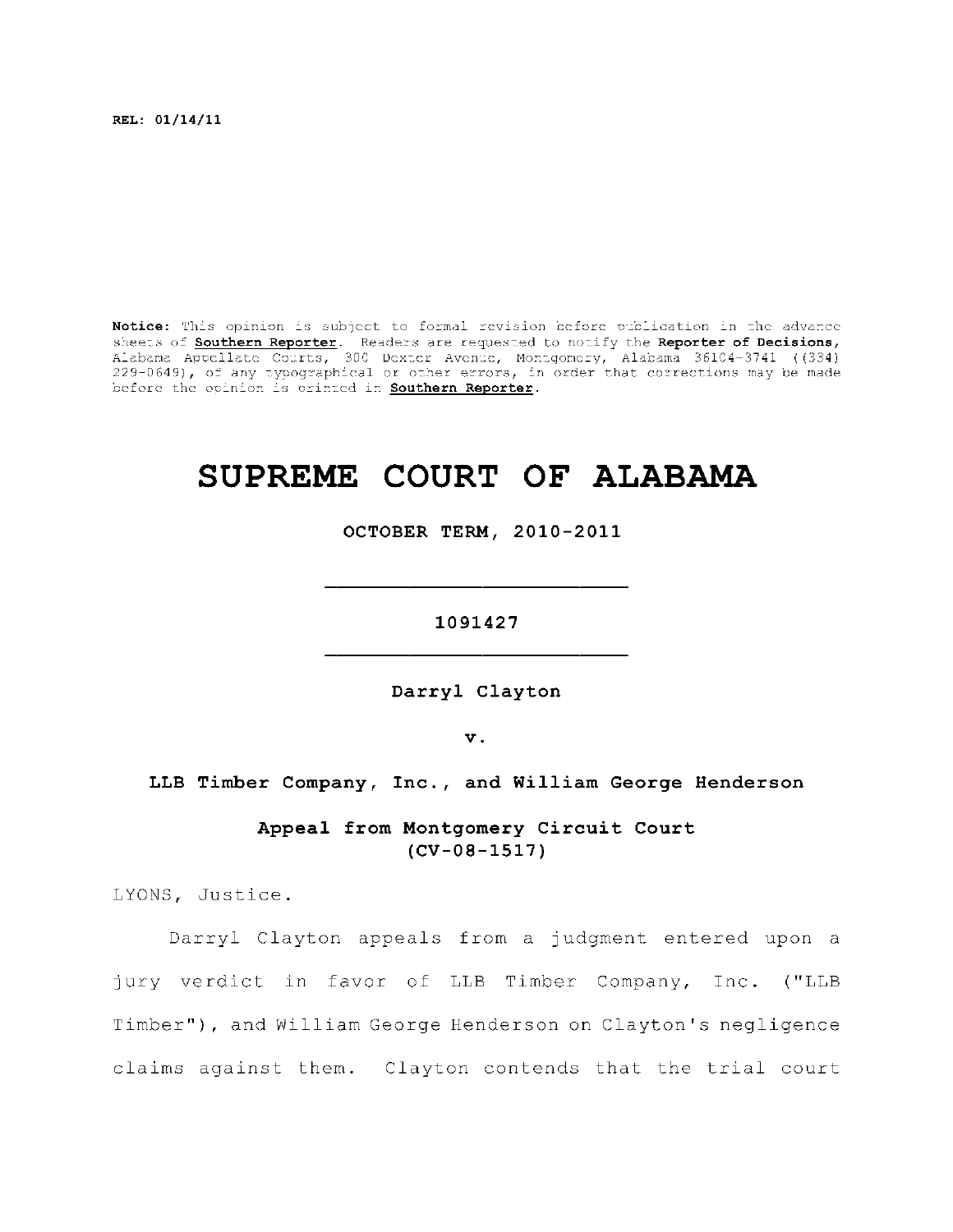**REL: 01/14/11** 

Notice: This opinion is subject to formal revision before publication in the advance sheets of **Southern Reporter**. Readers are requested to notify the Reporter of Decisions, Alabama Appellat e Courts , 300 Dexte r Avenue, Montgomery, Alabama 36104-3741 ((334) 229-0649), of any typographical or other errors, in order that corrections may be made before the opinion is printed in **Southern Reporter**.

# **SUPREME COURT OF ALABAMA**

**OCTOBER TERM, 2010-2011** 

**1091427** 

**Darryl** Clayton

**v.** 

# LLB Timber Company, Inc., and William George Henderson

Appeal from Montgomery Circuit Court **(CV-08-1517)** 

LYONS, Justice .

Darryl Clayton appeals from a judgment entered upon a jury verdict in favor of LLB Timber Company, Inc. ("LLB Timber"), and William George Henderson on Clayton's negligence claims against them. Clayton contends that the trial court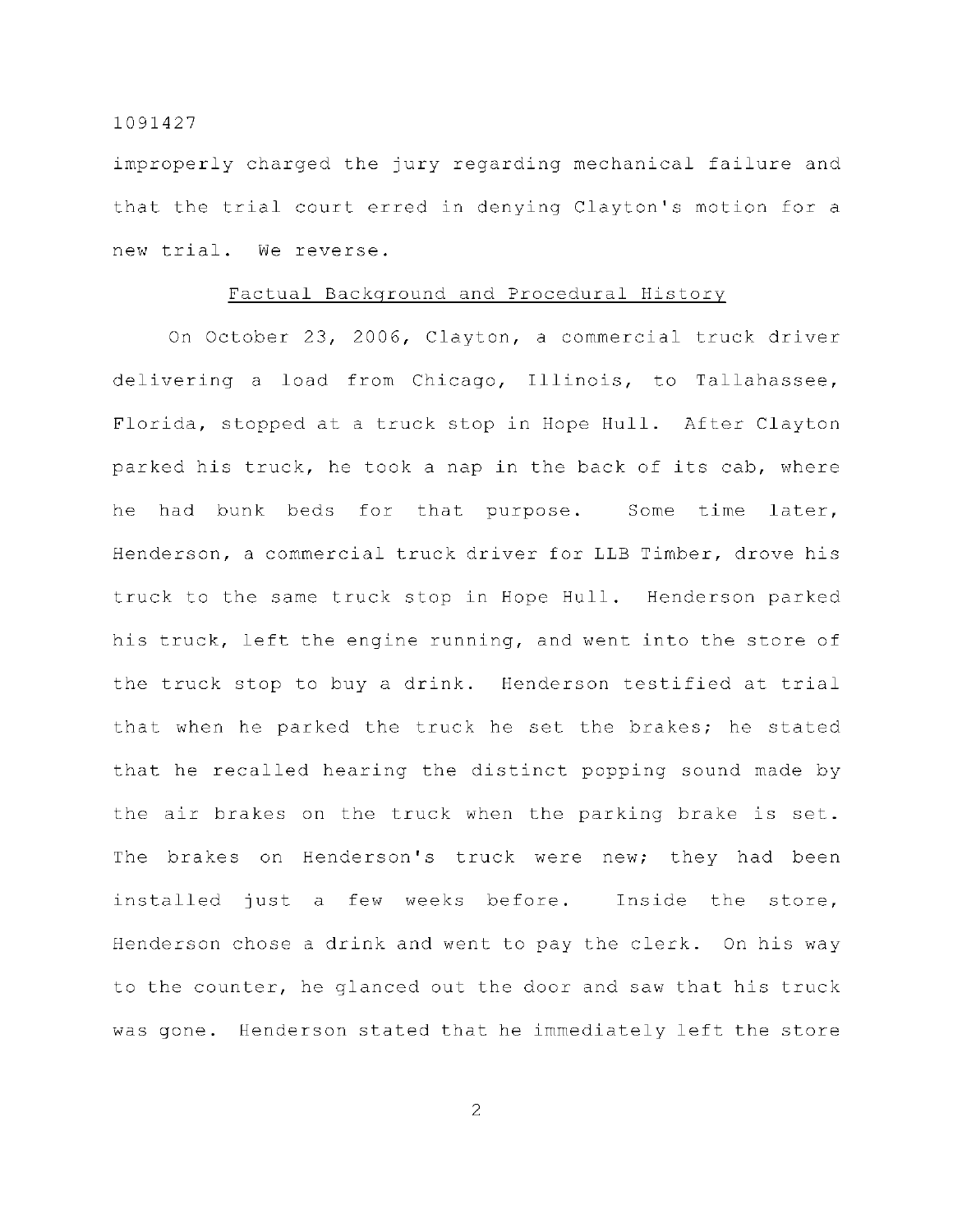improperly charged the jury regarding mechanical failure and that the trial court erred in denying Clayton's motion for a new trial. We reverse.

# Factual Background and Procedural History

On October 23, 2006, Clayton, a commercial truck driver delivering a load from Chicago, Illinois, to Tallahassee, Florida, stopped at a truck stop in Hope Hull. After Clayton parked his truck, he took a nap in the back of its cab, where he had bunk beds for that purpose. Some time later, Henderson, a commercial truck driver for LLB Timber, drove his truck to the same truck stop in Hope Hull. Henderson parked his truck, left the engine running, and went into the store of the truck stop to buy a drink. Henderson testified at trial that when he parked the truck he set the brakes; he stated that he recalled hearing the distinct popping sound made by the air brakes on the truck when the parking brake is set. The brakes on Henderson's truck were new; they had been installed just a few weeks before. Inside the store, Henderson chose a drink and went to pay the clerk. On his way to the counter, he glanced out the door and saw that his truck was gone. Henderson stated that he immediately left the store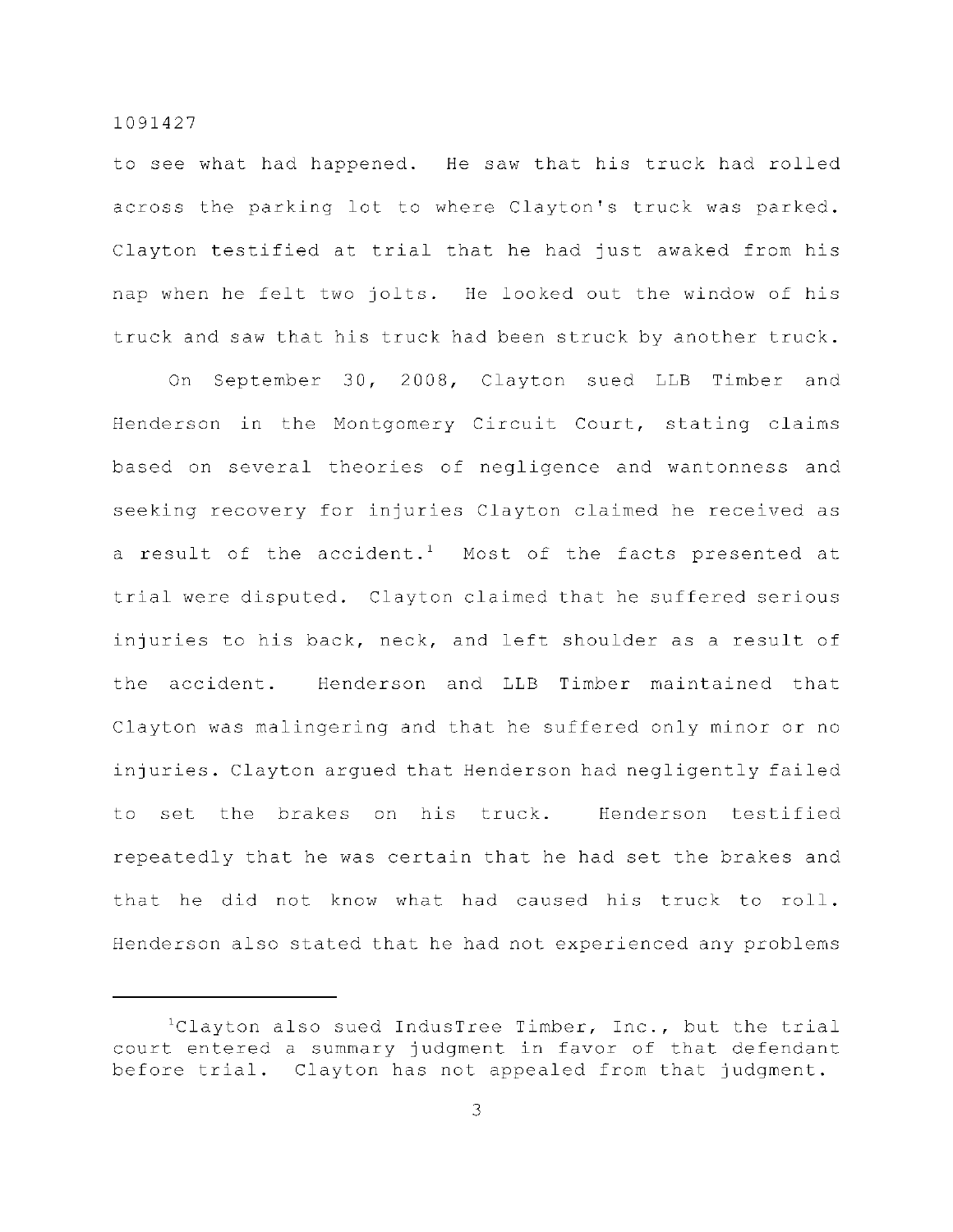to see what had happened. He saw that his truck had rolled across the parking lot to where Clayton's truck was parked. Clayton testified at trial that he had just awaked from his nap when he felt two jolts. He looked out the window of his truck and saw that his truck had been struck by another truck.

On September 30, 2008, Clayton sued LLB Timber and Henderson in the Montgomery Circuit Court, stating claims based on several theories of negligence and wantonness and seeking recovery for injuries Clayton claimed he received as a result of the accident.<sup>1</sup> Most of the facts presented at trial were disputed. Clayton claimed that he suffered serious injuries to his back, neck, and left shoulder as a result of the accident. Henderson and LLB Timber maintained that Clayton was malingering and that he suffered only minor or no injuries. Clayton argued that Henderson had negligently failed to set the brakes on his truck. Henderson testified repeatedly that he was certain that he had set the brakes and that he did not know what had caused his truck to roll. Henderson also stated that he had not experienced any problems

<sup>&</sup>lt;sup>1</sup>Clayton also sued IndusTree Timber, Inc., but the trial court entered a summary judgment in favor of that defendant before trial. Clayton has not appealed from that judgment.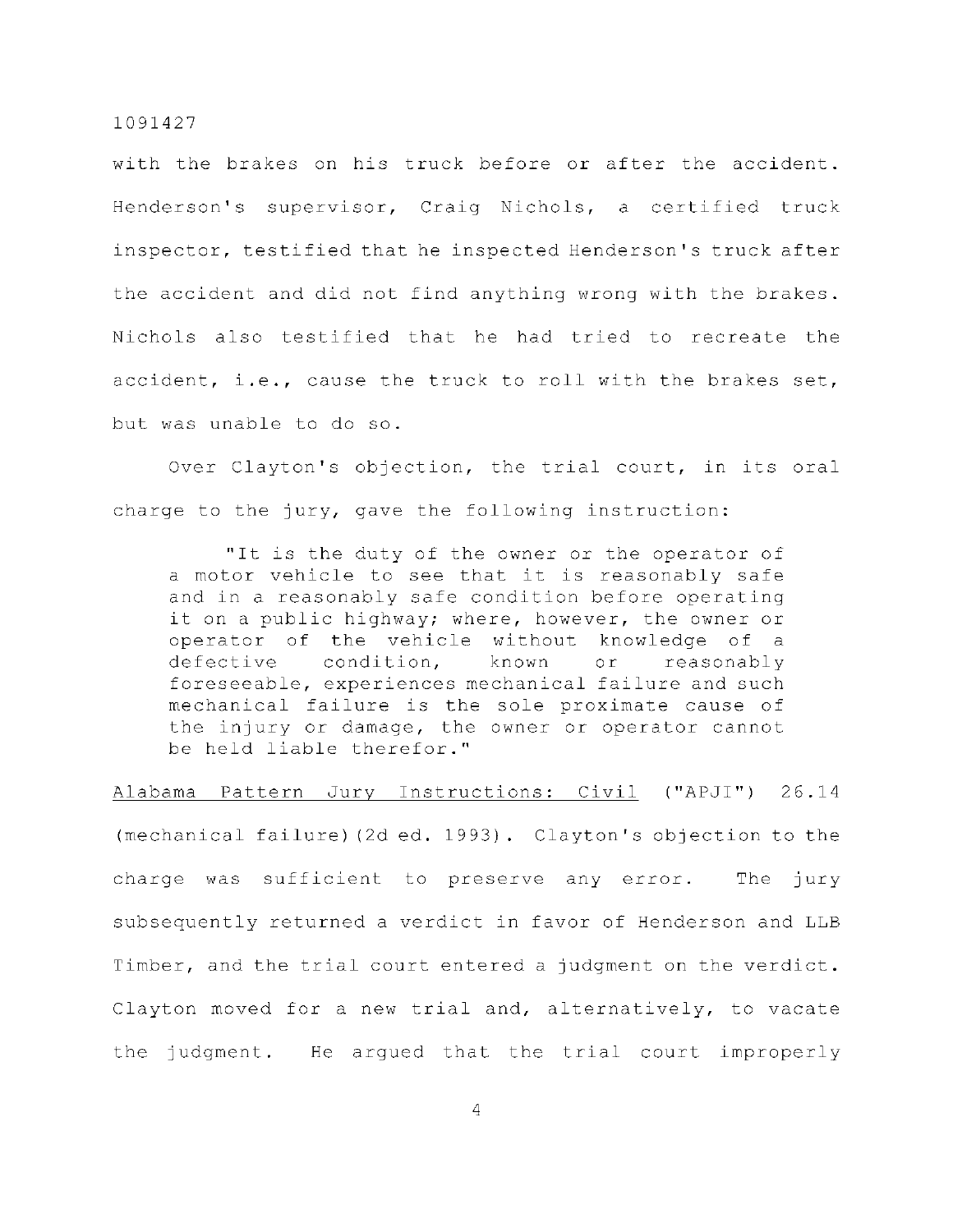with the brakes on his truck before or after the accident. Henderson's supervisor, Craig Nichols, a certified truck inspector, testified that he inspected Henderson's truck after the accident and did not find anything wrong with the brakes. Nichols also testified that he had tried to recreate the accident, i.e., cause the truck to roll with the brakes set, but was unable to do so.

Over Clayton's objection, the trial court, in its oral charge to the jury, gave the following instruction:

"It is the duty of the owner or the operator of a motor vehicle to see that it is reasonably safe and in a reasonably safe condition before operating it on a public highway; where, however, the owner or operator of the vehicle without knowledge of a defective condition, known or reasonably foreseeable, experiences mechanical failure and such mechanical failure is the sole proximate cause of the injury or damage, the owner or operator cannot be held liable therefor."

Alabama Pattern Jury Instructions: Civil ("APJI") 26.14 (mechanical failure)(2d ed. 1993). Clayton's objection to the charge was sufficient to preserve any error. The jury subsequently returned a verdict in favor of Henderson and LLB Timber, and the trial court entered a judgment on the verdict. Clayton moved for a new trial and, alternatively, to vacate the judgment. He argued that the trial court improperly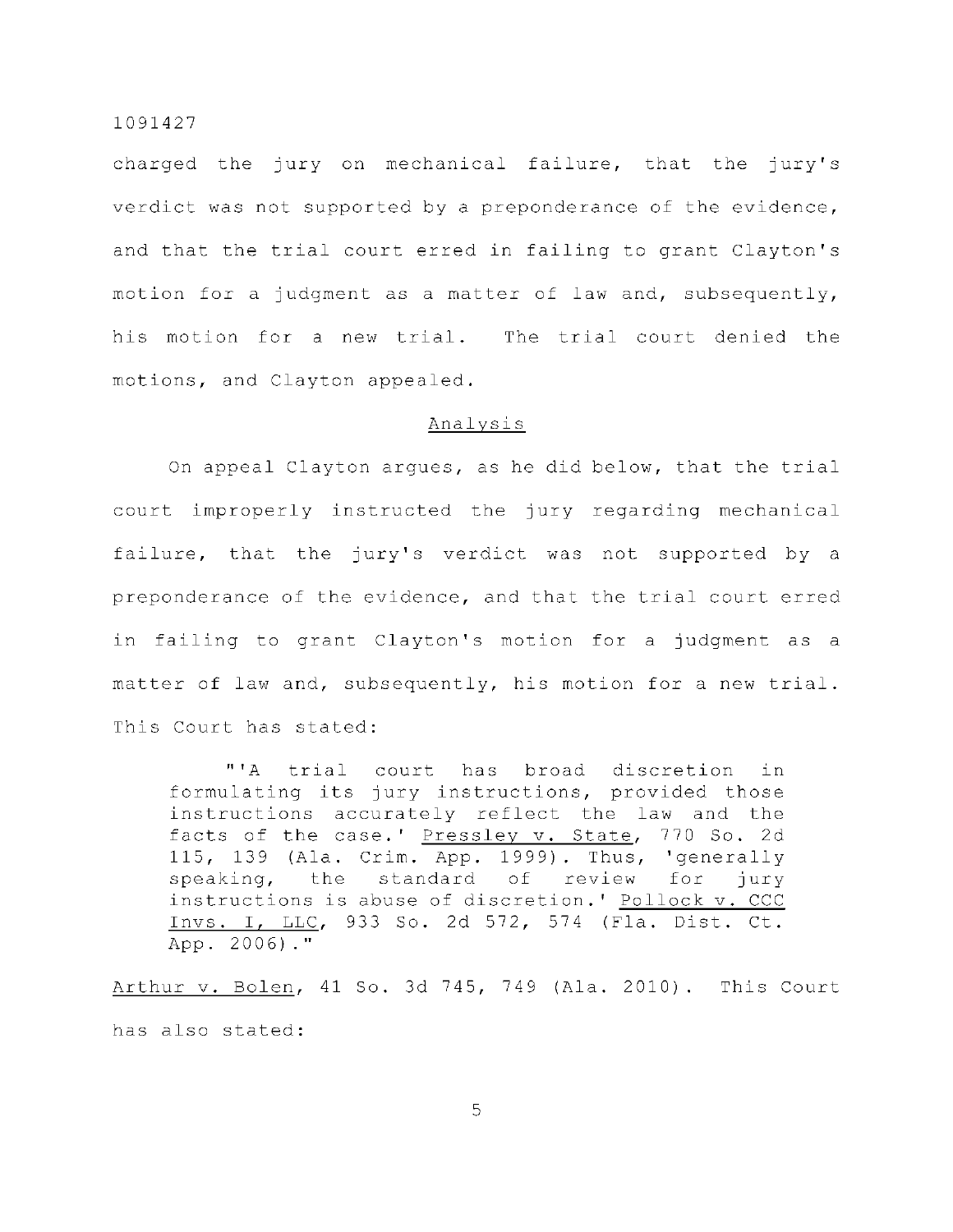charged the jury on mechanical failure, that the jury's verdict was not supported by a preponderance of the evidence, and that the trial court erred in failing to grant Clayton's motion for a judgment as a matter of law and, subsequently, his motion for a new trial. The trial court denied the motions, and Clayton appealed.

# Analysi s

On appeal Clayton arques, as he did below, that the trial court improperly instructed the jury regarding mechanical failure, that the jury's verdict was not supported by a preponderance of the evidence, and that the trial court erred in failing to grant Clayton's motion for a judgment as a matter of law and, subsequently, his motion for a new trial. This Court has stated:

"'A trial court has broad discretion in formulating its jury instructions, provided those instructions accurately reflect the law and the facts of the case.' Pressley v. State, 770 So. 2d 115, 139 (Ala. Crim. App. 1999). Thus, 'generally speaking, the standard of review for jury instructions is abuse of discretion.' Pollock v. CCC Invs. I, LLC, 933 So. 2d 572, 574 (Fla. Dist. Ct. App.  $2006)$ ."

Arthur v. Bolen, 41 So. 3d 745, 749 (Ala. 2010). This Court has also stated: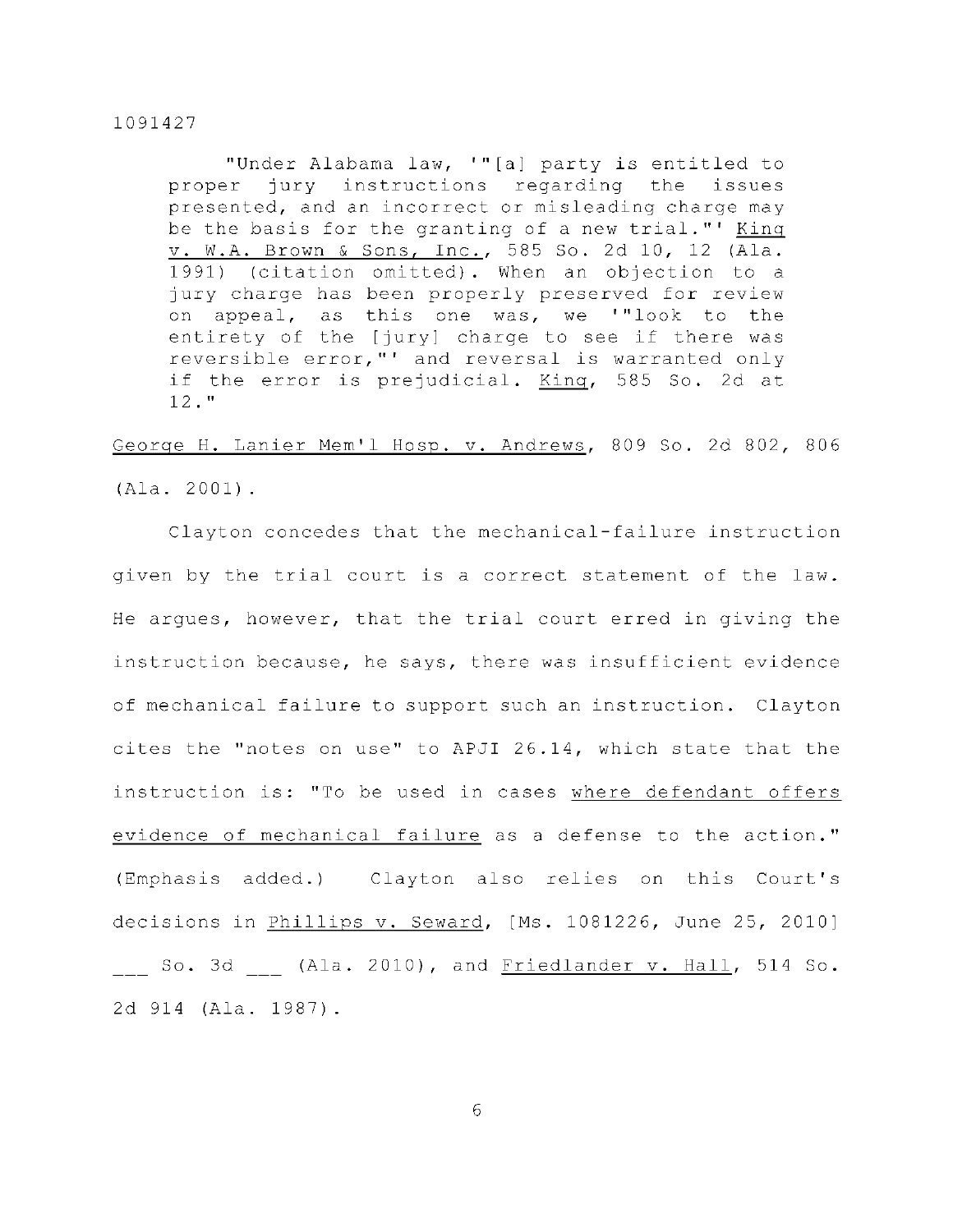"Under Alabama law, '"[a] party is entitled to proper jury instructions regarding the issues presented, and an incorrect or misleading charge may be the basis for the granting of a new trial."' King  $v.$  W.A. Brown & Sons, Inc., 585 So. 2d 10, 12 (Ala. 1991) (citation omitted). When an objection to a jury charge has been properly preserved for review on appeal, as this one was, we '"look to the entirety of the [jury] charge to see if there was reversible error,"' and reversal is warranted only if the error is prejudicial. King, 585 So. 2d at 12. "

George H. Lanier Mem'l Hosp. v. Andrews, 809 So. 2d 802, 806 (Ala . 2001) .

Clayton concedes that the mechanical-failure instruction given by the trial court is a correct statement of the law. He argues, however, that the trial court erred in giving the instruction because, he says, there was insufficient evidence of mechanical failure to support such an instruction. Clayton cites the "notes on use" to APJI 26.14, which state that the instruction is: "To be used in cases where defendant offers evidence of mechanical failure as a defense to the action." (Emphasis added.) Clayton also relies on this Court's decisions in Phillips v. Seward, [Ms. 1081226, June 25, 2010] So. 3d \_\_ (Ala. 2010), and Friedlander v. Hall, 514 So. 2d 914 (Ala. 1987).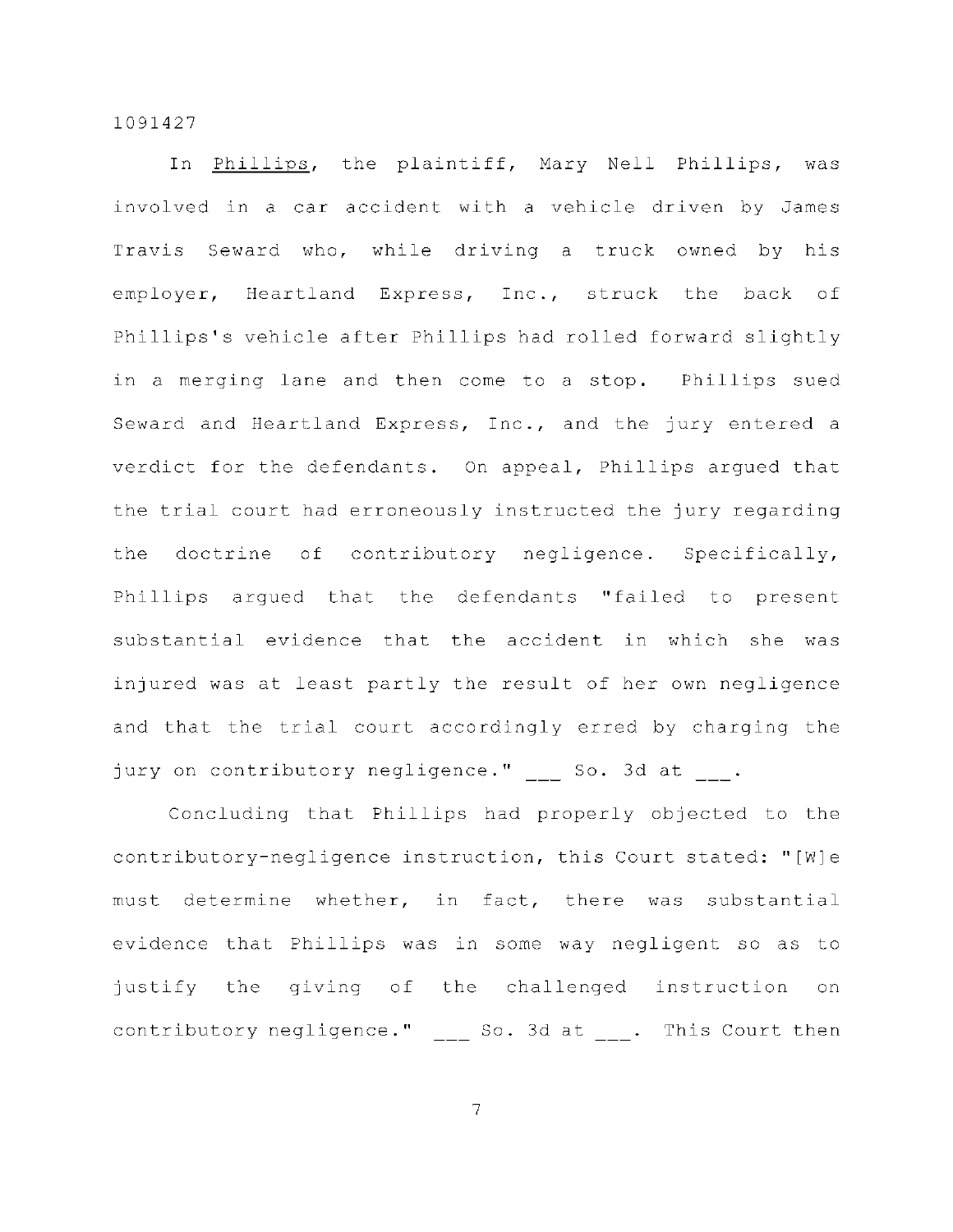In Phillips, the plaintiff, Mary Nell Phillips, was involved in a car accident with a vehicle driven by James Travis Seward who, while driving a truck owned by his employer, Heartland Express, Inc., struck the back of Phillips's vehicle after Phillips had rolled forward slightly in a merging lane and then come to a stop. Phillips sued Seward and Heartland Express, Inc., and the jury entered a verdict for the defendants. On appeal, Phillips argued that the trial court had erroneously instructed the jury regarding the doctrine of contributory negligence. Specifically, Phillips argued that the defendants "failed to present substantial evidence that the accident in which she was injured was at least partly the result of her own negligence and that the trial court accordingly erred by charging the jury on contributory negligence." So. 3d at .

Concluding that Phillips had properly objected to the contributory-negligence instruction, this Court stated: "[W]e must determine whether, in fact, there was substantial evidence that Phillips was in some way negligent so as to justify the giving of the challenged instruction on contributory negligence."  $\qquad \qquad \_$  So. 3d at  $\qquad \_$ . This Court then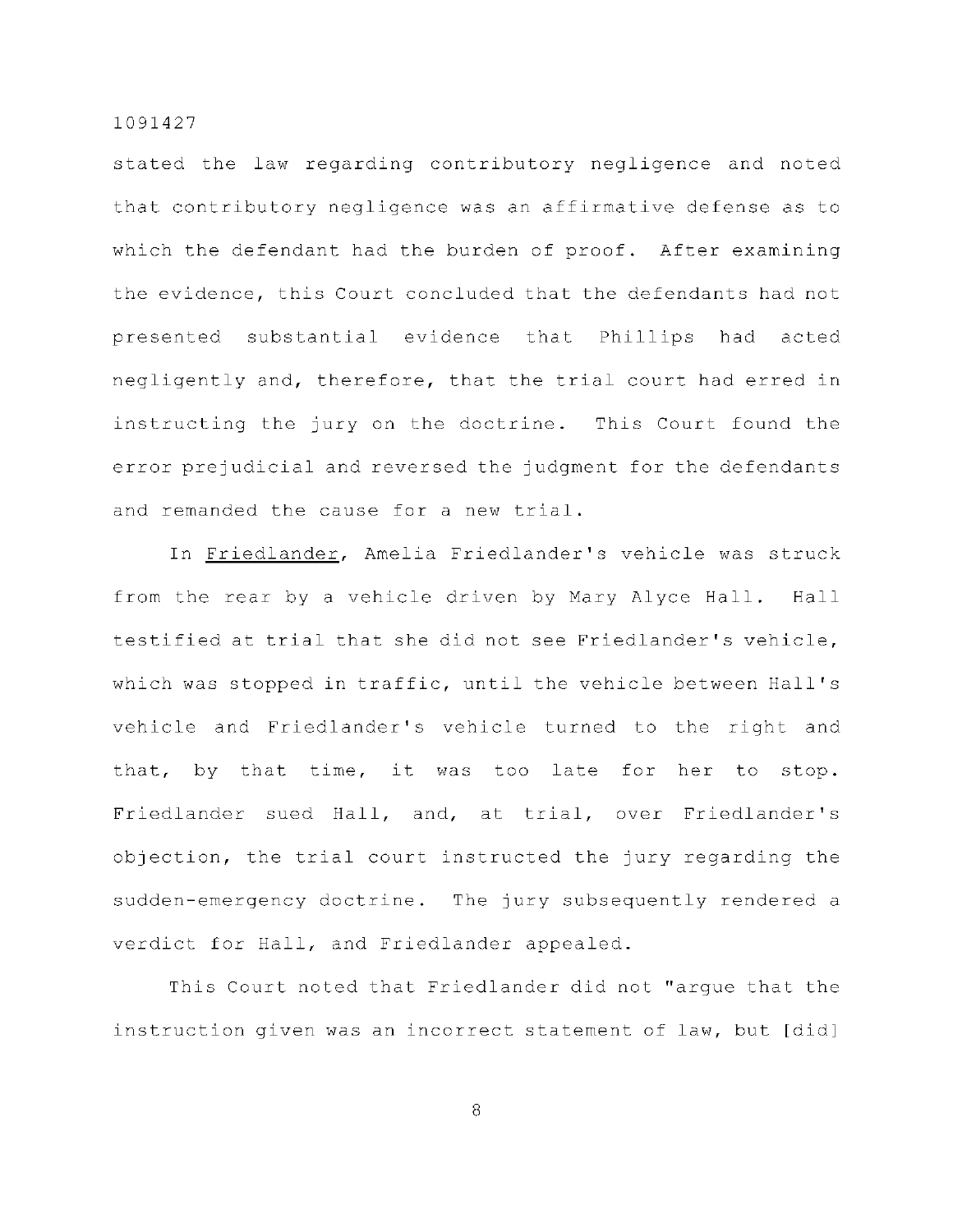stated the law regarding contributory negligence and noted that contributory negligence was an affirmative defense as to which the defendant had the burden of proof. After examining the evidence, this Court concluded that the defendants had not presented substantial evidence that Phillips had acted negligently and, therefore, that the trial court had erred in instructing the jury on the doctrine. This Court found the error prejudicial and reversed the judgment for the defendants and remanded the cause for a new trial.

In Friedlander, Amelia Friedlander's vehicle was struck from the rear by a vehicle driven by Mary Alyce Hall. Hall testified at trial that she did not see Friedlander's vehicle, which was stopped in traffic, until the vehicle between Hall's vehicle and Friedlander's vehicle turned to the right and that, by that time, it was too late for her to stop. Friedlander sued Hall, and, at trial, over Friedlander's objection, the trial court instructed the jury regarding the sudden-emergency doctrine. The jury subsequently rendered a verdict for Hall, and Friedlander appealed.

This Court noted that Friedlander did not "arque that the instruction given was an incorrect statement of law, but [did]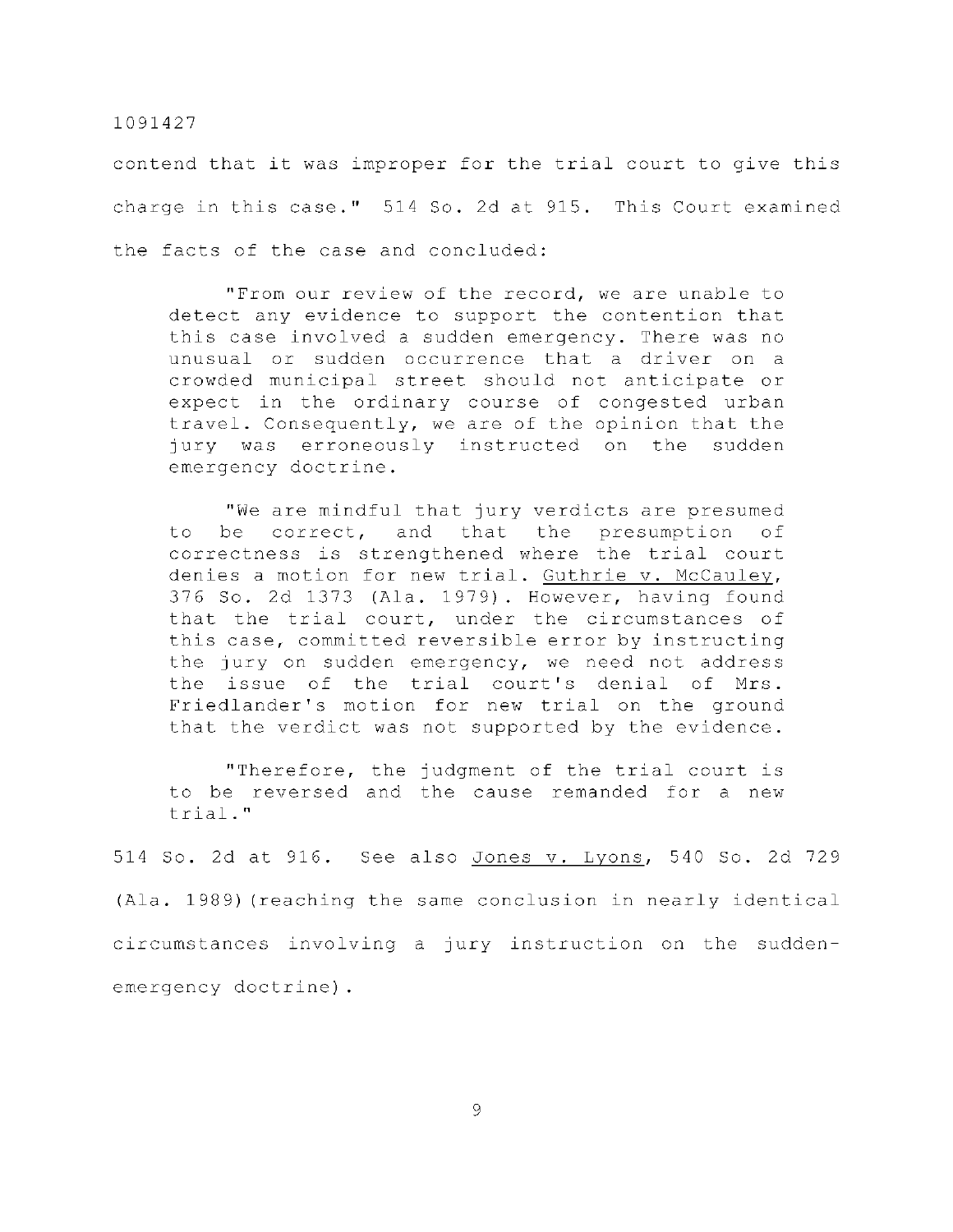contend that it was improper for the trial court to give this charge in this case." 514 So. 2d at 915. This Court examined the facts of the case and concluded:

"From our review of the record, we are unable to detect any evidence to support the contention that this case involved a sudden emergency. There was no unusual or sudden occurrence that a driver on a crowded municipal street should not anticipate or expect in the ordinary course of congested urban travel. Consequently, we are of the opinion that the jury was erroneously instructed on the sudden emergency doctrine.

"We are mindful that jury verdicts are presumed to be correct, and that the presumption of correctness is strengthened where the trial court denies a motion for new trial. Guthrie v. McCauley,  $376$  So. 2d  $1373$  (Ala. 1979). However, having found that the trial court, under the circumstances of this case, committed reversible error by instructing the jury on sudden emergency, we need not address the issue of the trial court's denial of Mrs. Friedlander's motion for new trial on the ground that the verdict was not supported by the evidence.

"Therefore, the judgment of the trial court is to be reversed and the cause remanded for a new trial."

514 So. 2d at 916. See also Jones v. Lyons, 540 So. 2d 729 (Ala. 1989) (reaching the same conclusion in nearly identical circumstances involving a jury instruction on the suddenemergency doctrine).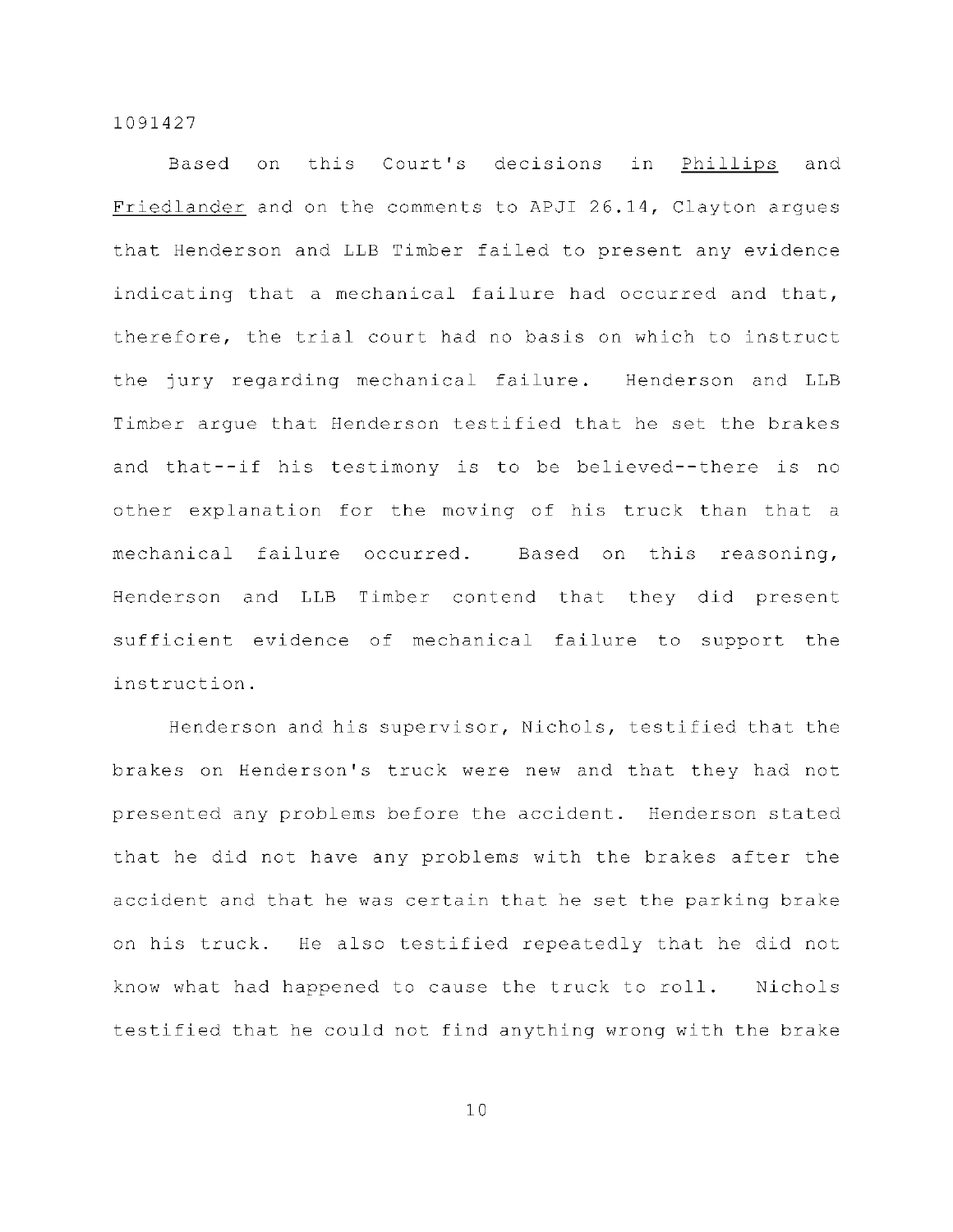Based on this Court's decisions in Phillips and Friedlander and on the comments to APJI 26.14, Clayton argues that Henderson and LLB Timber failed to present any evidence indicating that a mechanical failure had occurred and that, therefore, the trial court had no basis on which to instruct the jury regarding mechanical failure. Henderson and LLB Timber argue that Henderson testified that he set the brakes and that--if his testimony is to be believed--there is no other explanation for the moving of his truck than that a mechanical failure occurred. Based on this reasoning, Henderson and LLB Timber contend that they did present sufficient evidence of mechanical failure to support the instruction .

Henderson and his supervisor, Nichols, testified that the brakes on Henderson's truck were new and that they had not presented any problems before the accident. Henderson stated that he did not have any problems with the brakes after the accident and that he was certain that he set the parking brake on his truck. He also testified repeatedly that he did not know what had happened to cause the truck to roll. Nichols testified that he could not find anything wrong with the brake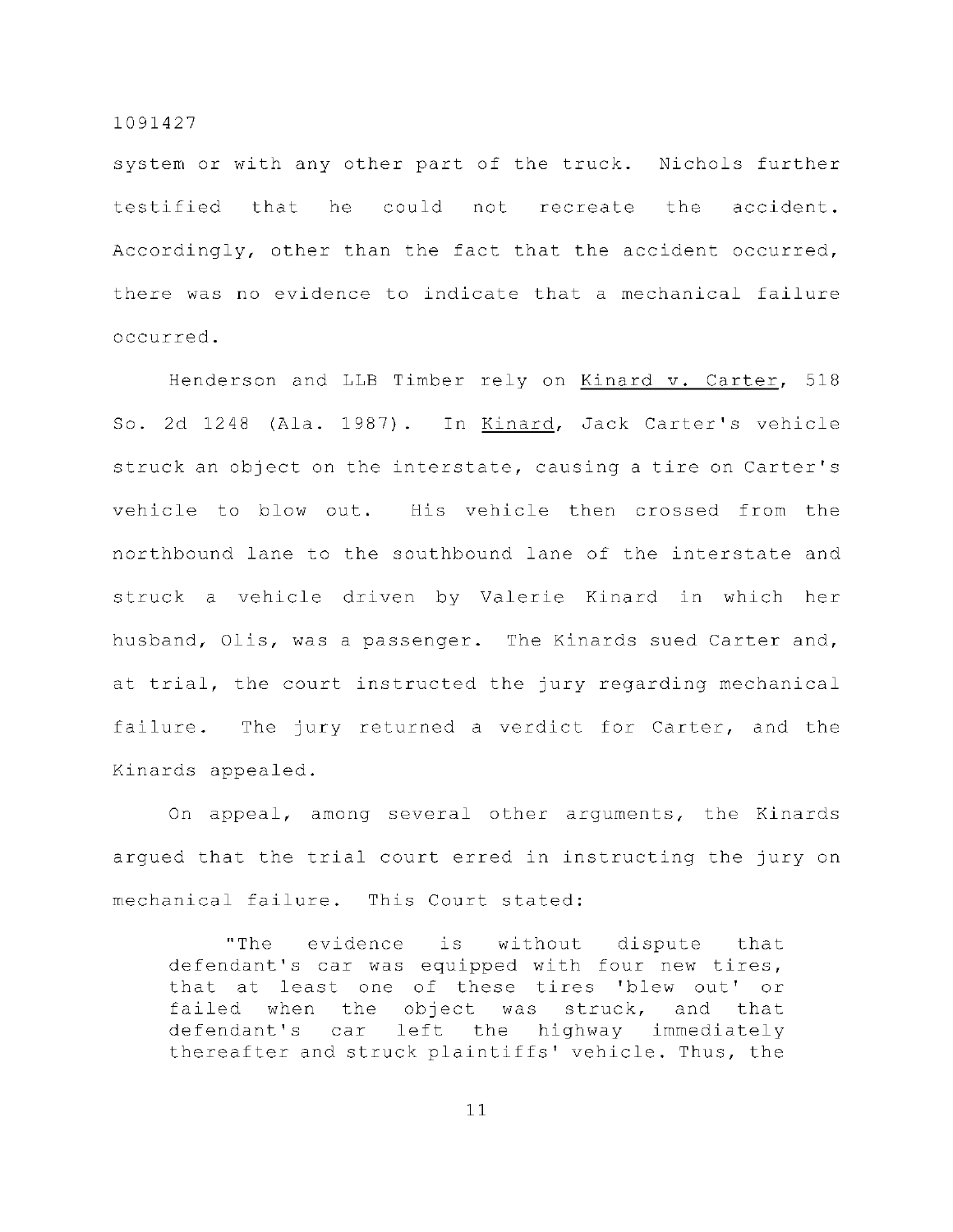system or with any other part of the truck. Nichols further testified that he could not recreate the accident. Accordingly, other than the fact that the accident occurred, there was no evidence to indicate that a mechanical failure occurred .

Henderson and LLB Timber rely on Kinard v. Carter, 518 So. 2d 1248 (Ala. 1987). In Kinard, Jack Carter's vehicle struck an object on the interstate, causing a tire on Carter's vehicle to blow out. His vehicle then crossed from the northbound lane to the southbound lane of the interstate and struck a vehicle driven by Valerie Kinard in which her husband, Olis, was a passenger. The Kinards sued Carter and, at trial, the court instructed the jury regarding mechanical failure. The jury returned a verdict for Carter, and the Kinards appealed.

On appeal, among several other arguments, the Kinards arqued that the trial court erred in instructing the jury on mechanical failure. This Court stated:

"The evidence is without dispute that defendant's car was equipped with four new tires, that at least one of these tires 'blew out' or failed when the object was struck, and that defendant's car left the highway immediately thereafter and struck plaintiffs' vehicle. Thus, the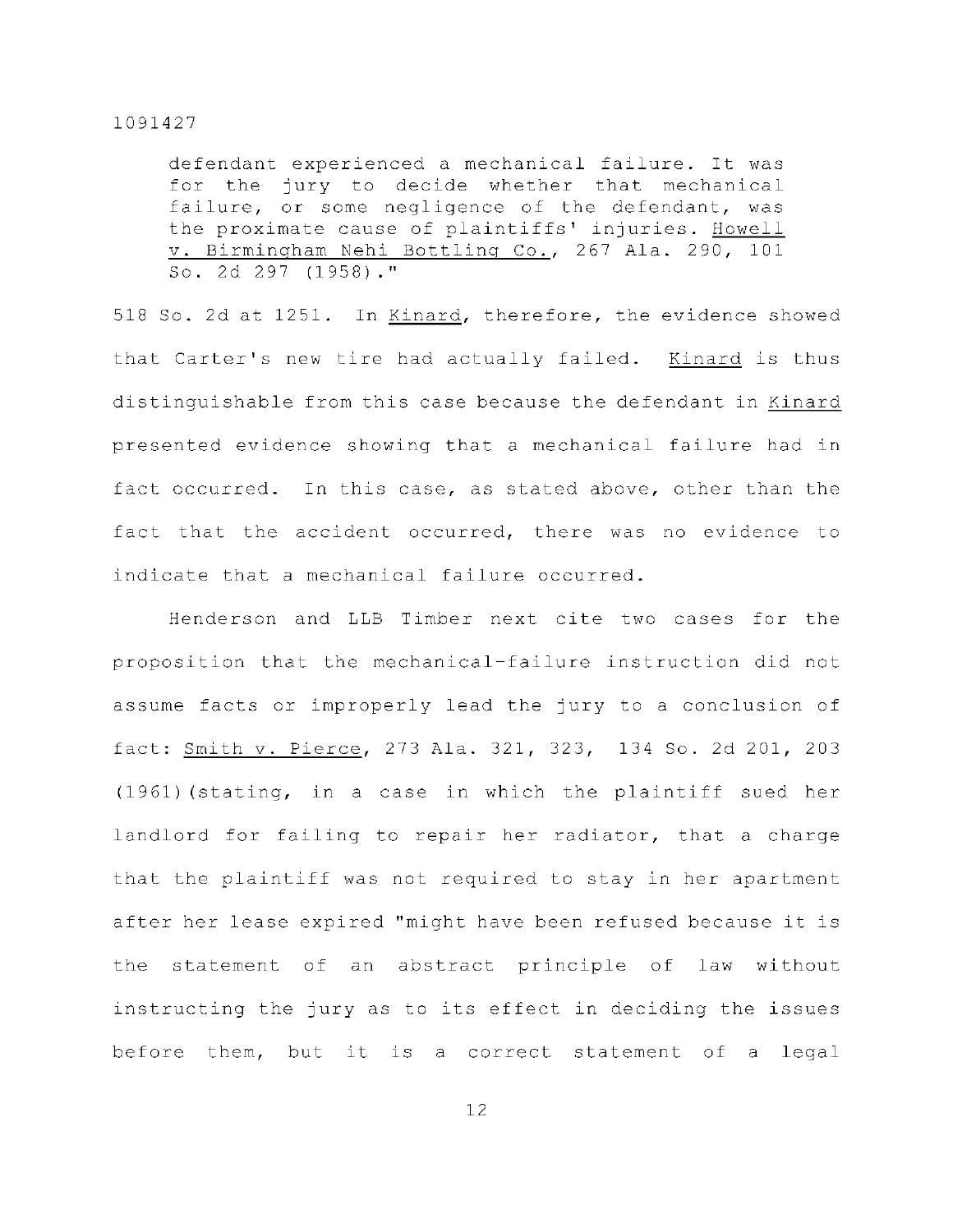defendant experienced a mechanical failure. It was for the jury to decide whether that mechanical failure, or some negligence of the defendant, was the proximate cause of plaintiffs' injuries. Howell v. Birmingham Nehi Bottling Co., 267 Ala. 290, 101 S o. 2d 297 (1958). "

518 So. 2d at 1251. In Kinard, therefore, the evidence showed that Carter's new tire had actually failed. Kinard is thus distinguishable from this case because the defendant in Kinard presented evidence showing that a mechanical failure had in fact occurred. In this case, as stated above, other than the fact that the accident occurred, there was no evidence to indicate that a mechanical failure occurred.

Henderson and LLB Timber next cite two cases for the proposition that the mechanical-failure instruction did not assume facts or improperly lead the jury to a conclusion of fact: Smith v. Pierce, 273 Ala. 321, 323, 134 So. 2d 201, 203 (1961)(stating, in a case in which the plaintiff sued her landlord for failing to repair her radiator, that a charge that the plaintiff was not required to stay in her apartment after her lease expired "might have been refused because it is the statement of an abstract principle of law without instructing the jury as to its effect in deciding the issues before them, but it is a correct statement of a legal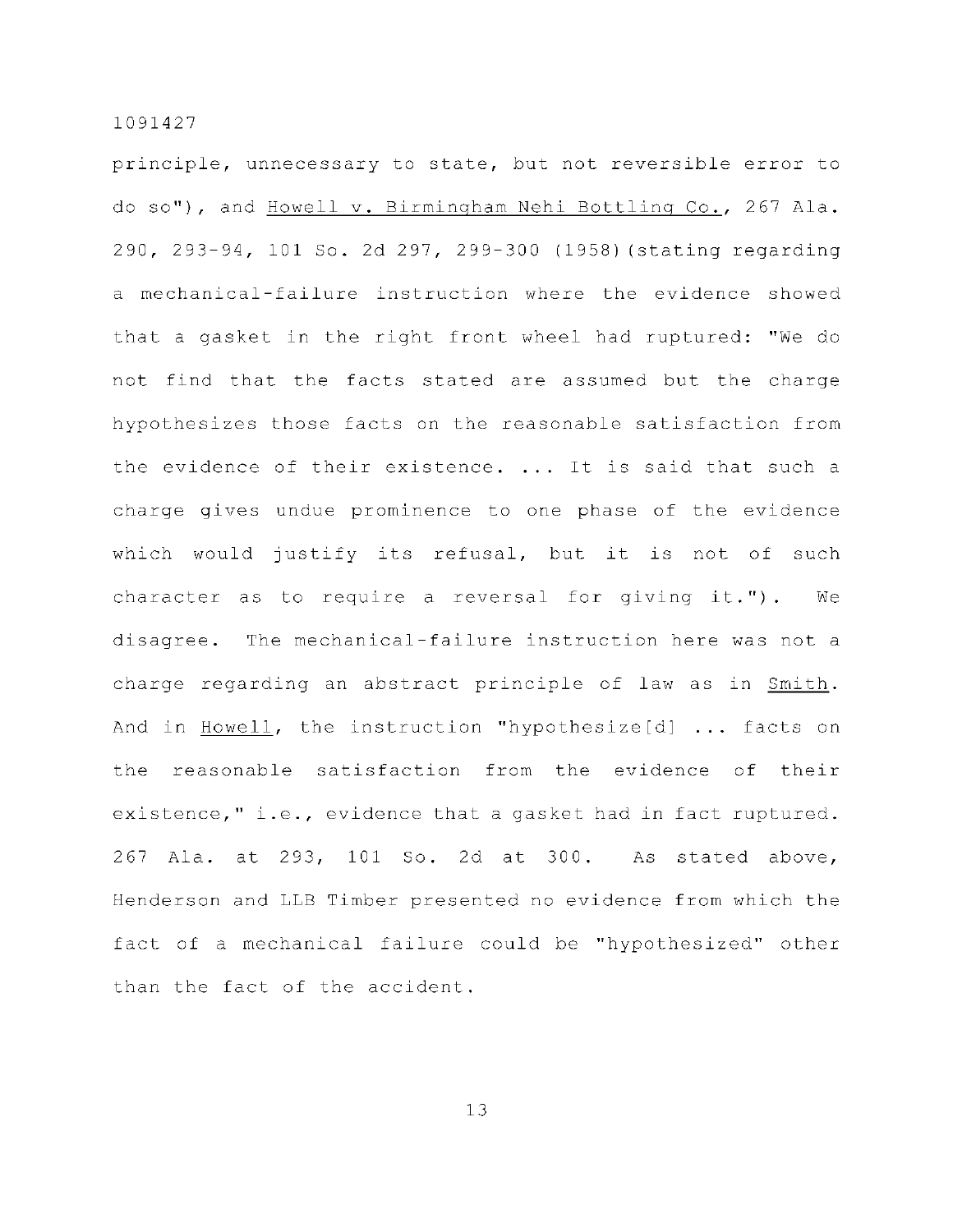principle, unnecessary to state, but not reversible error to do so"), and Howell v. Birmingham Nehi Bottling Co., 267 Ala. 290, 293-94, 101 So. 2d 297, 299-300 (1958) (stating regarding a mechanical-failure instruction where the evidence showed that a gasket in the right front wheel had ruptured: "We do not find that the facts stated are assumed but the charge hypothesizes those facts on the reasonable satisfaction from the evidence of their existence. ... It is said that such a charge gives undue prominence to one phase of the evidence which would justify its refusal, but it is not of such character as to require a reversal for giving it."). We disagree. The mechanical-failure instruction here was not a charge regarding an abstract principle of law as in Smith. And in Howell, the instruction "hypothesize[d] ... facts on the reasonable satisfaction from the evidence of their existence," i.e., evidence that a gasket had in fact ruptured. 267 Ala. at 293, 101 So. 2d at 300. As stated above, Henderson and LLB Timber presented no evidence from which the fact of a mechanical failure could be "hypothesized" other than the fact of the accident.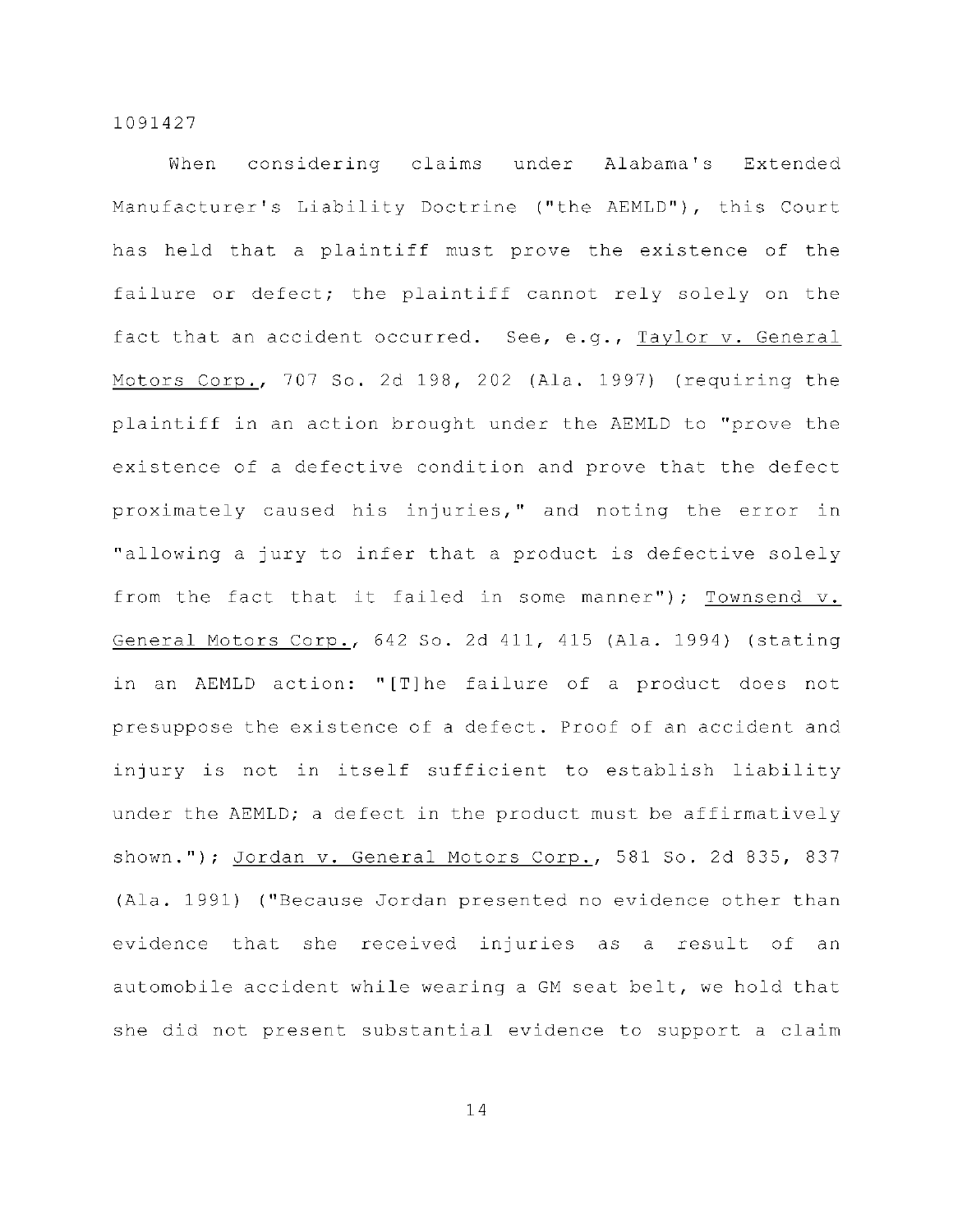When considering claims under Alabama's Extended Manufacturer's Liability Doctrine ("the AEMLD"), this Court has held that a plaintiff must prove the existence of the failure or defect; the plaintiff cannot rely solely on the fact that an accident occurred. See, e.g., Taylor v. General Motors Corp., 707 So. 2d 198, 202 (Ala. 1997) (requiring the plaintiff in an action brought under the AEMLD to "prove the existence of a defective condition and prove that the defect proximately caused his injuries," and noting the error in "allowing a jury to infer that a product is defective solely from the fact that it failed in some manner"); Townsend  $v$ . General Motors Corp., 642 So. 2d 411, 415 (Ala. 1994) (stating in an AEMLD action: "[T]he failure of a product does not presuppose the existence of a defect. Proof of an accident and injury is not in itself sufficient to establish liability under the AEMLD; a defect in the product must be affirmatively shown."); Jordan v. General Motors Corp., 581 So. 2d 835, 837 (Ala. 1991) ("Because Jordan presented no evidence other than evidence that she received injuries as a result of an automobile accident while wearing a GM seat belt, we hold that she did not present substantial evidence to support a claim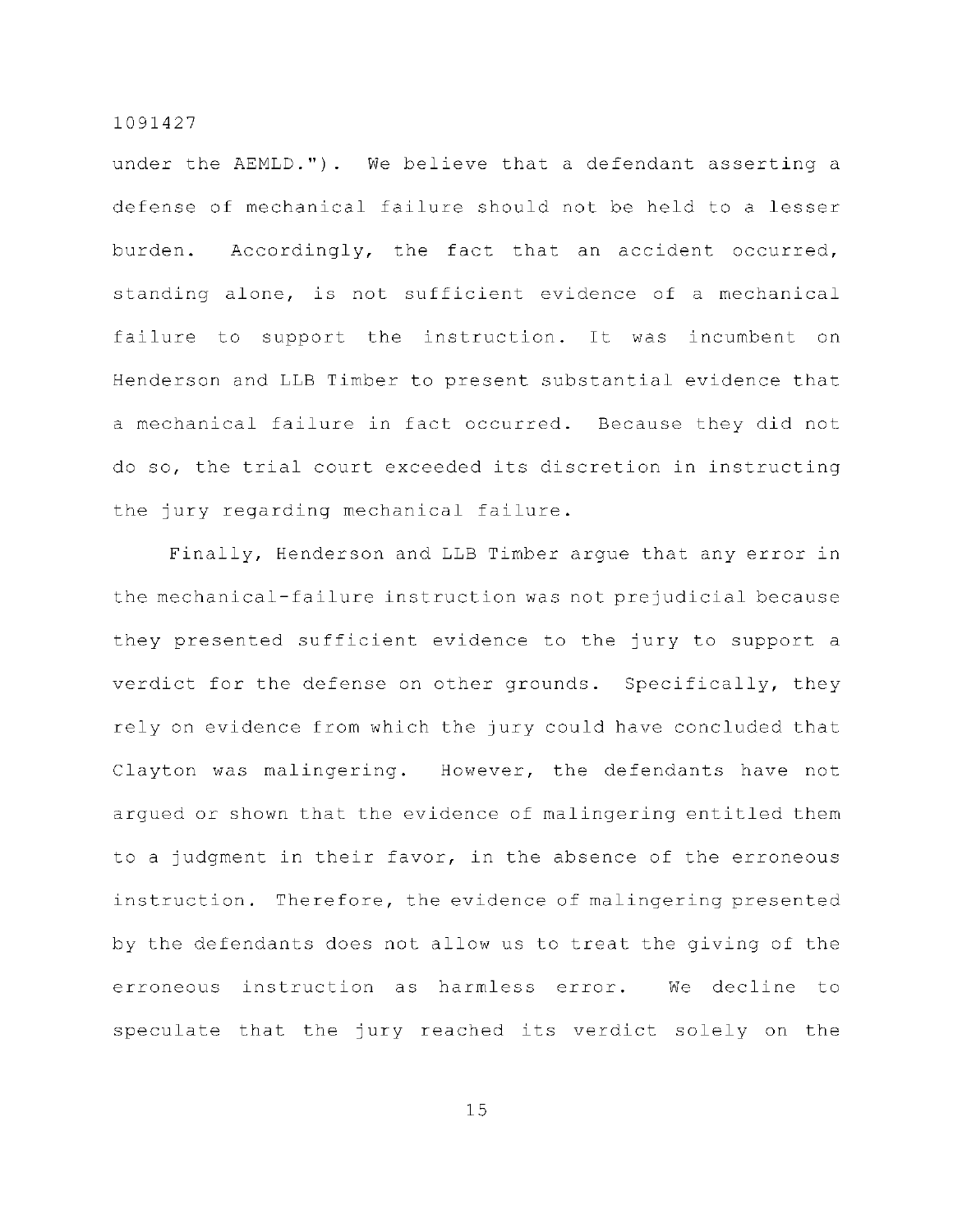under the AEMLD."). We believe that a defendant asserting a defense of mechanical failure should not be held to a lesser burden. Accordingly, the fact that an accident occurred, standing alone, is not sufficient evidence of a mechanical failure to support the instruction. It was incumbent on Henderson and LLB Timber to present substantial evidence that a mechanical failure in fact occurred. Because they did not do so, the trial court exceeded its discretion in instructing the jury regarding mechanical failure.

Finally, Henderson and LLB Timber argue that any error in the mechanical-failure instruction was not prejudicial because they presented sufficient evidence to the jury to support a verdict for the defense on other grounds. Specifically, they rely on evidence from which the jury could have concluded that Clayton was malingering. However, the defendants have not argued or shown that the evidence of malingering entitled them to a judgment in their favor, in the absence of the erroneous instruction. Therefore, the evidence of malingering presented by the defendants does not allow us to treat the giving of the erroneous instruction as harmless error. We decline to speculate that the jury reached its verdict solely on the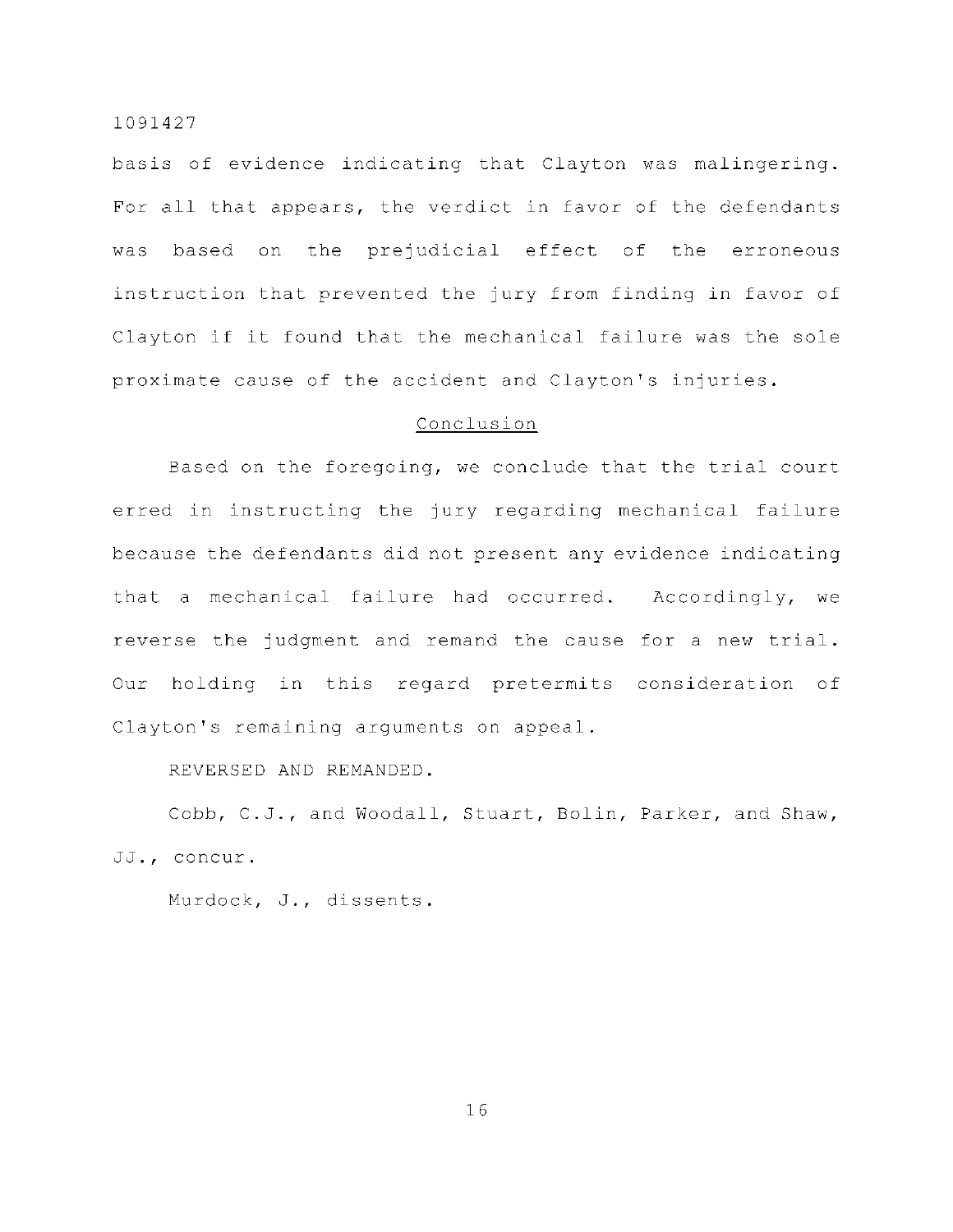basis of evidence indicating that Clayton was malingering. For all that appears, the verdict in favor of the defendants was based on the prejudicial effect of the erroneous instruction that prevented the jury from finding in favor of Clayton if it found that the mechanical failure was the sole proximate cause of the accident and Clayton's injuries.

## Conclusion

Based on the foregoing, we conclude that the trial court erred in instructing the jury regarding mechanical failure because the defendants did not present any evidence indicating that a mechanical failure had occurred. Accordingly, we reverse the judgment and remand the cause for a new trial. Our holding in this regard pretermits consideration of Clayton's remaining arguments on appeal.

REVERSED AND REMANDED.

Cobb, C.J., and Woodall, Stuart, Bolin, Parker, and Shaw, JJ., concur.

Murdock, J., dissents.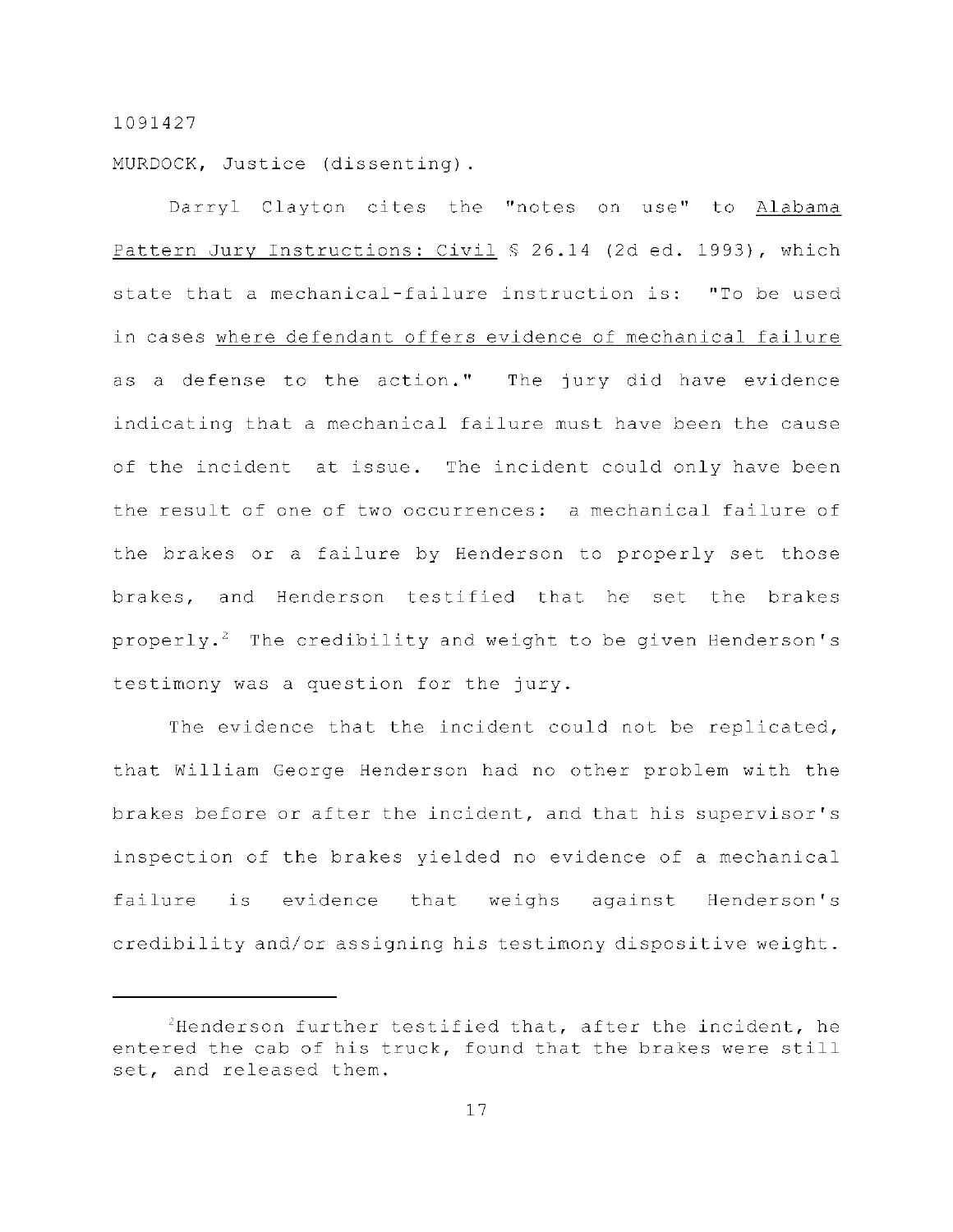MURDOCK, Justice (dissenting).

Darryl Clayton cites the "notes on use" to Alabama Pattern Jury Instructions: Civil  $$26.14$  (2d ed. 1993), which state that a mechanical-failure instruction is: "To be used in cases where defendant offers evidence of mechanical failure as a defense to the action." The jury did have evidence indicating that a mechanical failure must have been the cause of the incident at issue. The incident could only have been the result of one of two occurrences: a mechanical failure of the brakes or a failure by Henderson to properly set those brakes, and Henderson testified that he set the brakes properly.<sup>2</sup> The credibility and weight to be given Henderson's testimony was a question for the jury.

The evidence that the incident could not be replicated, that William George Henderson had no other problem with the brakes before or after the incident, and that his supervisor's inspection of the brakes yielded no evidence of a mechanical failure is evidence that weighs against Henderson's credibility and/or assigning his testimony dispositive weight.

 $2$ Henderson further testified that, after the incident, he entered the cab of his truck, found that the brakes were still set, and released them.